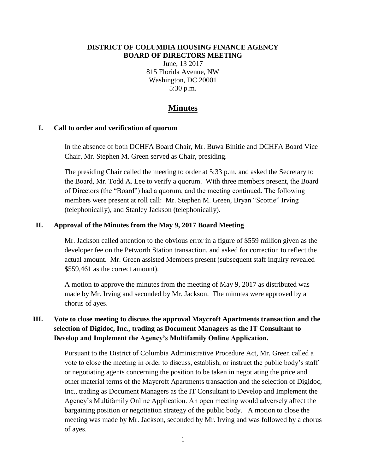#### **DISTRICT OF COLUMBIA HOUSING FINANCE AGENCY BOARD OF DIRECTORS MEETING**

June, 13 2017 815 Florida Avenue, NW Washington, DC 20001 5:30 p.m.

## **Minutes**

#### **I. Call to order and verification of quorum**

In the absence of both DCHFA Board Chair, Mr. Buwa Binitie and DCHFA Board Vice Chair, Mr. Stephen M. Green served as Chair, presiding.

The presiding Chair called the meeting to order at 5:33 p.m. and asked the Secretary to the Board, Mr. Todd A. Lee to verify a quorum. With three members present, the Board of Directors (the "Board") had a quorum, and the meeting continued. The following members were present at roll call: Mr. Stephen M. Green, Bryan "Scottie" Irving (telephonically), and Stanley Jackson (telephonically).

#### **II. Approval of the Minutes from the May 9, 2017 Board Meeting**

Mr. Jackson called attention to the obvious error in a figure of \$559 million given as the developer fee on the Petworth Station transaction, and asked for correction to reflect the actual amount. Mr. Green assisted Members present (subsequent staff inquiry revealed \$559,461 as the correct amount).

A motion to approve the minutes from the meeting of May 9, 2017 as distributed was made by Mr. Irving and seconded by Mr. Jackson. The minutes were approved by a chorus of ayes.

## **III. Vote to close meeting to discuss the approval Maycroft Apartments transaction and the selection of Digidoc, Inc., trading as Document Managers as the IT Consultant to Develop and Implement the Agency's Multifamily Online Application.**

Pursuant to the District of Columbia Administrative Procedure Act, Mr. Green called a vote to close the meeting in order to discuss, establish, or instruct the public body's staff or negotiating agents concerning the position to be taken in negotiating the price and other material terms of the Maycroft Apartments transaction and the selection of Digidoc, Inc., trading as Document Managers as the IT Consultant to Develop and Implement the Agency's Multifamily Online Application. An open meeting would adversely affect the bargaining position or negotiation strategy of the public body. A motion to close the meeting was made by Mr. Jackson, seconded by Mr. Irving and was followed by a chorus of ayes.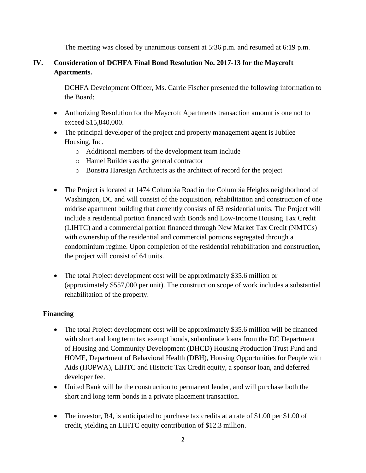The meeting was closed by unanimous consent at 5:36 p.m. and resumed at 6:19 p.m.

# **IV. Consideration of DCHFA Final Bond Resolution No. 2017-13 for the Maycroft Apartments.**

DCHFA Development Officer, Ms. Carrie Fischer presented the following information to the Board:

- Authorizing Resolution for the Maycroft Apartments transaction amount is one not to exceed \$15,840,000.
- The principal developer of the project and property management agent is Jubilee Housing, Inc.
	- o Additional members of the development team include
	- o Hamel Builders as the general contractor
	- o Bonstra Haresign Architects as the architect of record for the project
- The Project is located at 1474 Columbia Road in the Columbia Heights neighborhood of Washington, DC and will consist of the acquisition, rehabilitation and construction of one midrise apartment building that currently consists of 63 residential units. The Project will include a residential portion financed with Bonds and Low-Income Housing Tax Credit (LIHTC) and a commercial portion financed through New Market Tax Credit (NMTCs) with ownership of the residential and commercial portions segregated through a condominium regime. Upon completion of the residential rehabilitation and construction, the project will consist of 64 units.
- The total Project development cost will be approximately \$35.6 million or (approximately \$557,000 per unit). The construction scope of work includes a substantial rehabilitation of the property.

### **Financing**

- The total Project development cost will be approximately \$35.6 million will be financed with short and long term tax exempt bonds, subordinate loans from the DC Department of Housing and Community Development (DHCD) Housing Production Trust Fund and HOME, Department of Behavioral Health (DBH), Housing Opportunities for People with Aids (HOPWA), LIHTC and Historic Tax Credit equity, a sponsor loan, and deferred developer fee.
- United Bank will be the construction to permanent lender, and will purchase both the short and long term bonds in a private placement transaction.
- The investor, R4, is anticipated to purchase tax credits at a rate of \$1.00 per \$1.00 of credit, yielding an LIHTC equity contribution of \$12.3 million.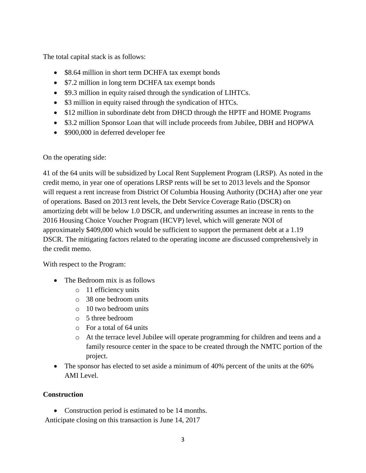The total capital stack is as follows:

- \$8.64 million in short term DCHFA tax exempt bonds
- \$7.2 million in long term DCHFA tax exempt bonds
- \$9.3 million in equity raised through the syndication of LIHTCs.
- \$3 million in equity raised through the syndication of HTCs.
- \$12 million in subordinate debt from DHCD through the HPTF and HOME Programs
- \$3.2 million Sponsor Loan that will include proceeds from Jubilee, DBH and HOPWA
- \$900,000 in deferred developer fee

On the operating side:

41 of the 64 units will be subsidized by Local Rent Supplement Program (LRSP). As noted in the credit memo, in year one of operations LRSP rents will be set to 2013 levels and the Sponsor will request a rent increase from District Of Columbia Housing Authority (DCHA) after one year of operations. Based on 2013 rent levels, the Debt Service Coverage Ratio (DSCR) on amortizing debt will be below 1.0 DSCR, and underwriting assumes an increase in rents to the 2016 Housing Choice Voucher Program (HCVP) level, which will generate NOI of approximately \$409,000 which would be sufficient to support the permanent debt at a 1.19 DSCR. The mitigating factors related to the operating income are discussed comprehensively in the credit memo.

With respect to the Program:

- The Bedroom mix is as follows
	- o 11 efficiency units
	- o 38 one bedroom units
	- o 10 two bedroom units
	- o 5 three bedroom
	- o For a total of 64 units
	- o At the terrace level Jubilee will operate programming for children and teens and a family resource center in the space to be created through the NMTC portion of the project.
- The sponsor has elected to set aside a minimum of 40% percent of the units at the 60% AMI Level.

### **Construction**

• Construction period is estimated to be 14 months.

Anticipate closing on this transaction is June 14, 2017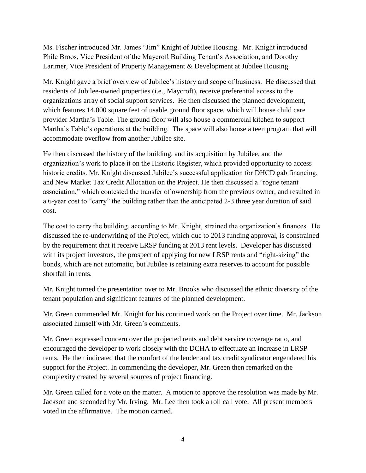Ms. Fischer introduced Mr. James "Jim" Knight of Jubilee Housing. Mr. Knight introduced Phile Broos, Vice President of the Maycroft Building Tenant's Association, and Dorothy Larimer, Vice President of Property Management & Development at Jubilee Housing.

Mr. Knight gave a brief overview of Jubilee's history and scope of business. He discussed that residents of Jubilee-owned properties (i.e., Maycroft), receive preferential access to the organizations array of social support services. He then discussed the planned development, which features 14,000 square feet of usable ground floor space, which will house child care provider Martha's Table. The ground floor will also house a commercial kitchen to support Martha's Table's operations at the building. The space will also house a teen program that will accommodate overflow from another Jubilee site.

He then discussed the history of the building, and its acquisition by Jubilee, and the organization's work to place it on the Historic Register, which provided opportunity to access historic credits. Mr. Knight discussed Jubilee's successful application for DHCD gab financing, and New Market Tax Credit Allocation on the Project. He then discussed a "rogue tenant association," which contested the transfer of ownership from the previous owner, and resulted in a 6-year cost to "carry" the building rather than the anticipated 2-3 three year duration of said cost.

The cost to carry the building, according to Mr. Knight, strained the organization's finances. He discussed the re-underwriting of the Project, which due to 2013 funding approval, is constrained by the requirement that it receive LRSP funding at 2013 rent levels. Developer has discussed with its project investors, the prospect of applying for new LRSP rents and "right-sizing" the bonds, which are not automatic, but Jubilee is retaining extra reserves to account for possible shortfall in rents.

Mr. Knight turned the presentation over to Mr. Brooks who discussed the ethnic diversity of the tenant population and significant features of the planned development.

Mr. Green commended Mr. Knight for his continued work on the Project over time. Mr. Jackson associated himself with Mr. Green's comments.

Mr. Green expressed concern over the projected rents and debt service coverage ratio, and encouraged the developer to work closely with the DCHA to effectuate an increase in LRSP rents. He then indicated that the comfort of the lender and tax credit syndicator engendered his support for the Project. In commending the developer, Mr. Green then remarked on the complexity created by several sources of project financing.

Mr. Green called for a vote on the matter. A motion to approve the resolution was made by Mr. Jackson and seconded by Mr. Irving. Mr. Lee then took a roll call vote. All present members voted in the affirmative. The motion carried.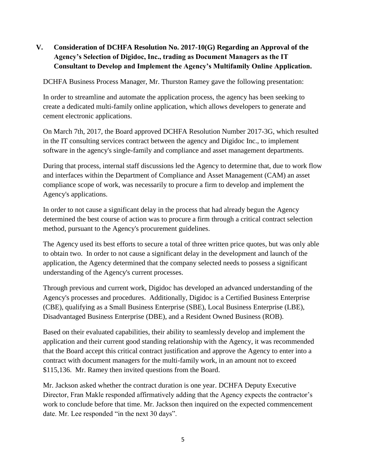# **V. Consideration of DCHFA Resolution No. 2017-10(G) Regarding an Approval of the Agency's Selection of Digidoc, Inc., trading as Document Managers as the IT Consultant to Develop and Implement the Agency's Multifamily Online Application.**

DCHFA Business Process Manager, Mr. Thurston Ramey gave the following presentation:

In order to streamline and automate the application process, the agency has been seeking to create a dedicated multi-family online application, which allows developers to generate and cement electronic applications.

On March 7th, 2017, the Board approved DCHFA Resolution Number 2017-3G, which resulted in the IT consulting services contract between the agency and Digidoc Inc., to implement software in the agency's single-family and compliance and asset management departments.

During that process, internal staff discussions led the Agency to determine that, due to work flow and interfaces within the Department of Compliance and Asset Management (CAM) an asset compliance scope of work, was necessarily to procure a firm to develop and implement the Agency's applications.

In order to not cause a significant delay in the process that had already begun the Agency determined the best course of action was to procure a firm through a critical contract selection method, pursuant to the Agency's procurement guidelines.

The Agency used its best efforts to secure a total of three written price quotes, but was only able to obtain two. In order to not cause a significant delay in the development and launch of the application, the Agency determined that the company selected needs to possess a significant understanding of the Agency's current processes.

Through previous and current work, Digidoc has developed an advanced understanding of the Agency's processes and procedures. Additionally, Digidoc is a Certified Business Enterprise (CBE), qualifying as a Small Business Enterprise (SBE), Local Business Enterprise (LBE), Disadvantaged Business Enterprise (DBE), and a Resident Owned Business (ROB).

Based on their evaluated capabilities, their ability to seamlessly develop and implement the application and their current good standing relationship with the Agency, it was recommended that the Board accept this critical contract justification and approve the Agency to enter into a contract with document managers for the multi-family work, in an amount not to exceed \$115,136. Mr. Ramey then invited questions from the Board.

Mr. Jackson asked whether the contract duration is one year. DCHFA Deputy Executive Director, Fran Makle responded affirmatively adding that the Agency expects the contractor's work to conclude before that time. Mr. Jackson then inquired on the expected commencement date. Mr. Lee responded "in the next 30 days".